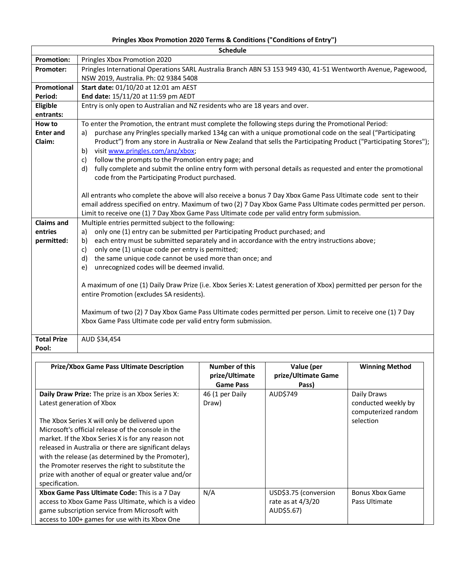## **Pringles Xbox Promotion 2020 Terms & Conditions ("Conditions of Entry")**

| <b>Schedule</b>    |                                                                                                                                                                      |  |  |  |  |
|--------------------|----------------------------------------------------------------------------------------------------------------------------------------------------------------------|--|--|--|--|
| <b>Promotion:</b>  | Pringles Xbox Promotion 2020                                                                                                                                         |  |  |  |  |
| <b>Promoter:</b>   | Pringles International Operations SARL Australia Branch ABN 53 153 949 430, 41-51 Wentworth Avenue, Pagewood,                                                        |  |  |  |  |
|                    | NSW 2019, Australia. Ph: 02 9384 5408                                                                                                                                |  |  |  |  |
| Promotional        | Start date: 01/10/20 at 12:01 am AEST                                                                                                                                |  |  |  |  |
| Period:            | End date: 15/11/20 at 11:59 pm AEDT                                                                                                                                  |  |  |  |  |
| Eligible           | Entry is only open to Australian and NZ residents who are 18 years and over.                                                                                         |  |  |  |  |
| entrants:          |                                                                                                                                                                      |  |  |  |  |
| How to             | To enter the Promotion, the entrant must complete the following steps during the Promotional Period:                                                                 |  |  |  |  |
| <b>Enter and</b>   | purchase any Pringles specially marked 134g can with a unique promotional code on the seal ("Participating<br>a)                                                     |  |  |  |  |
| Claim:             | Product") from any store in Australia or New Zealand that sells the Participating Product ("Participating Stores");                                                  |  |  |  |  |
|                    | visit www.pringles.com/anz/xbox;<br>b)                                                                                                                               |  |  |  |  |
|                    | follow the prompts to the Promotion entry page; and<br>c)                                                                                                            |  |  |  |  |
|                    | fully complete and submit the online entry form with personal details as requested and enter the promotional<br>d)<br>code from the Participating Product purchased. |  |  |  |  |
|                    |                                                                                                                                                                      |  |  |  |  |
|                    | All entrants who complete the above will also receive a bonus 7 Day Xbox Game Pass Ultimate code sent to their                                                       |  |  |  |  |
|                    | email address specified on entry. Maximum of two (2) 7 Day Xbox Game Pass Ultimate codes permitted per person.                                                       |  |  |  |  |
|                    | Limit to receive one (1) 7 Day Xbox Game Pass Ultimate code per valid entry form submission.                                                                         |  |  |  |  |
| <b>Claims and</b>  | Multiple entries permitted subject to the following:                                                                                                                 |  |  |  |  |
| entries            | only one (1) entry can be submitted per Participating Product purchased; and<br>a)                                                                                   |  |  |  |  |
| permitted:         | each entry must be submitted separately and in accordance with the entry instructions above;<br>b)                                                                   |  |  |  |  |
|                    | only one (1) unique code per entry is permitted;<br>c)                                                                                                               |  |  |  |  |
|                    | the same unique code cannot be used more than once; and<br>d)                                                                                                        |  |  |  |  |
|                    | unrecognized codes will be deemed invalid.<br>e)                                                                                                                     |  |  |  |  |
|                    | A maximum of one (1) Daily Draw Prize (i.e. Xbox Series X: Latest generation of Xbox) permitted per person for the                                                   |  |  |  |  |
|                    | entire Promotion (excludes SA residents).                                                                                                                            |  |  |  |  |
|                    | Maximum of two (2) 7 Day Xbox Game Pass Ultimate codes permitted per person. Limit to receive one (1) 7 Day                                                          |  |  |  |  |
|                    | Xbox Game Pass Ultimate code per valid entry form submission.                                                                                                        |  |  |  |  |
| <b>Total Prize</b> | AUD \$34,454                                                                                                                                                         |  |  |  |  |
| Pool:              |                                                                                                                                                                      |  |  |  |  |
|                    |                                                                                                                                                                      |  |  |  |  |
|                    | <b>Drize/Yhov Game Dass Ultimate Description</b><br>Number of thic<br>Value <i>Iner</i><br>Winning Mathod                                                            |  |  |  |  |

| <b>Prize/Xbox Game Pass Ultimate Description</b>                                                                                                                                                                                                                                                                                                                                                                                                                                              | Number of this<br>prize/Ultimate             | Value (per<br>prize/Ultimate Game                          | <b>Winning Method</b>                                                  |
|-----------------------------------------------------------------------------------------------------------------------------------------------------------------------------------------------------------------------------------------------------------------------------------------------------------------------------------------------------------------------------------------------------------------------------------------------------------------------------------------------|----------------------------------------------|------------------------------------------------------------|------------------------------------------------------------------------|
| <b>Daily Draw Prize:</b> The prize is an Xbox Series X:<br>Latest generation of Xbox<br>The Xbox Series X will only be delivered upon<br>Microsoft's official release of the console in the<br>market. If the Xbox Series X is for any reason not<br>released in Australia or there are significant delays<br>with the release (as determined by the Promoter),<br>the Promoter reserves the right to substitute the<br>prize with another of equal or greater value and/or<br>specification. | <b>Game Pass</b><br>46 (1 per Daily<br>Draw) | Pass)<br>AUD\$749                                          | Daily Draws<br>conducted weekly by<br>computerized random<br>selection |
| Xbox Game Pass Ultimate Code: This is a 7 Day<br>access to Xbox Game Pass Ultimate, which is a video<br>game subscription service from Microsoft with<br>access to 100+ games for use with its Xbox One                                                                                                                                                                                                                                                                                       | N/A                                          | USD\$3.75 (conversion<br>rate as at $4/3/20$<br>AUD\$5.67) | <b>Bonus Xbox Game</b><br>Pass Ultimate                                |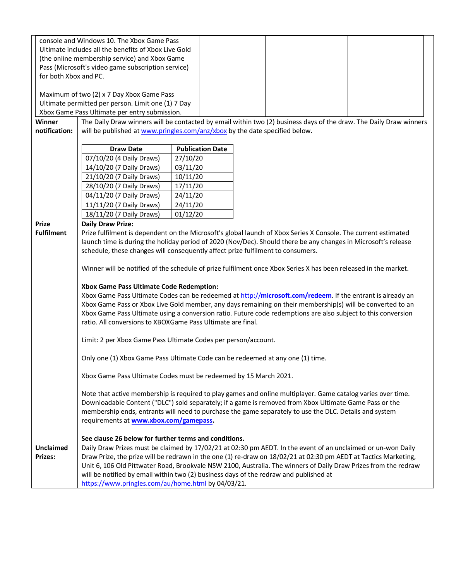| console and Windows 10. The Xbox Game Pass<br>Ultimate includes all the benefits of Xbox Live Gold |                                                                                                                                                                                                                             |                         |  |  |  |  |
|----------------------------------------------------------------------------------------------------|-----------------------------------------------------------------------------------------------------------------------------------------------------------------------------------------------------------------------------|-------------------------|--|--|--|--|
|                                                                                                    | (the online membership service) and Xbox Game                                                                                                                                                                               |                         |  |  |  |  |
|                                                                                                    | Pass (Microsoft's video game subscription service)                                                                                                                                                                          |                         |  |  |  |  |
| for both Xbox and PC.                                                                              |                                                                                                                                                                                                                             |                         |  |  |  |  |
|                                                                                                    |                                                                                                                                                                                                                             |                         |  |  |  |  |
|                                                                                                    | Maximum of two (2) x 7 Day Xbox Game Pass                                                                                                                                                                                   |                         |  |  |  |  |
|                                                                                                    | Ultimate permitted per person. Limit one (1) 7 Day                                                                                                                                                                          |                         |  |  |  |  |
|                                                                                                    | Xbox Game Pass Ultimate per entry submission.<br>The Daily Draw winners will be contacted by email within two (2) business days of the draw. The Daily Draw winners                                                         |                         |  |  |  |  |
| Winner<br>notification:                                                                            | will be published at www.pringles.com/anz/xbox by the date specified below.                                                                                                                                                 |                         |  |  |  |  |
|                                                                                                    |                                                                                                                                                                                                                             |                         |  |  |  |  |
|                                                                                                    | <b>Draw Date</b>                                                                                                                                                                                                            | <b>Publication Date</b> |  |  |  |  |
|                                                                                                    | 07/10/20 (4 Daily Draws)                                                                                                                                                                                                    | 27/10/20                |  |  |  |  |
|                                                                                                    | 14/10/20 (7 Daily Draws)                                                                                                                                                                                                    | 03/11/20                |  |  |  |  |
|                                                                                                    | 21/10/20 (7 Daily Draws)                                                                                                                                                                                                    | 10/11/20                |  |  |  |  |
|                                                                                                    | 28/10/20 (7 Daily Draws)                                                                                                                                                                                                    | 17/11/20                |  |  |  |  |
|                                                                                                    | 04/11/20 (7 Daily Draws)                                                                                                                                                                                                    | 24/11/20                |  |  |  |  |
|                                                                                                    | 11/11/20 (7 Daily Draws)                                                                                                                                                                                                    | 24/11/20                |  |  |  |  |
| <b>Prize</b>                                                                                       | 18/11/20 (7 Daily Draws)<br><b>Daily Draw Prize:</b>                                                                                                                                                                        | 01/12/20                |  |  |  |  |
| <b>Fulfilment</b>                                                                                  | Prize fulfilment is dependent on the Microsoft's global launch of Xbox Series X Console. The current estimated                                                                                                              |                         |  |  |  |  |
|                                                                                                    | launch time is during the holiday period of 2020 (Nov/Dec). Should there be any changes in Microsoft's release                                                                                                              |                         |  |  |  |  |
|                                                                                                    | schedule, these changes will consequently affect prize fulfilment to consumers.                                                                                                                                             |                         |  |  |  |  |
|                                                                                                    |                                                                                                                                                                                                                             |                         |  |  |  |  |
|                                                                                                    | Winner will be notified of the schedule of prize fulfilment once Xbox Series X has been released in the market.                                                                                                             |                         |  |  |  |  |
|                                                                                                    |                                                                                                                                                                                                                             |                         |  |  |  |  |
|                                                                                                    | Xbox Game Pass Ultimate Code Redemption:<br>Xbox Game Pass Ultimate Codes can be redeemed at http://microsoft.com/redeem. If the entrant is already an                                                                      |                         |  |  |  |  |
|                                                                                                    |                                                                                                                                                                                                                             |                         |  |  |  |  |
|                                                                                                    | Xbox Game Pass or Xbox Live Gold member, any days remaining on their membership(s) will be converted to an<br>Xbox Game Pass Ultimate using a conversion ratio. Future code redemptions are also subject to this conversion |                         |  |  |  |  |
|                                                                                                    | ratio. All conversions to XBOXGame Pass Ultimate are final.                                                                                                                                                                 |                         |  |  |  |  |
|                                                                                                    |                                                                                                                                                                                                                             |                         |  |  |  |  |
|                                                                                                    | Limit: 2 per Xbox Game Pass Ultimate Codes per person/account.                                                                                                                                                              |                         |  |  |  |  |
|                                                                                                    | Only one (1) Xbox Game Pass Ultimate Code can be redeemed at any one (1) time.                                                                                                                                              |                         |  |  |  |  |
|                                                                                                    |                                                                                                                                                                                                                             |                         |  |  |  |  |
|                                                                                                    | Xbox Game Pass Ultimate Codes must be redeemed by 15 March 2021.                                                                                                                                                            |                         |  |  |  |  |
|                                                                                                    |                                                                                                                                                                                                                             |                         |  |  |  |  |
|                                                                                                    | Note that active membership is required to play games and online multiplayer. Game catalog varies over time.                                                                                                                |                         |  |  |  |  |
|                                                                                                    | Downloadable Content ("DLC") sold separately; if a game is removed from Xbox Ultimate Game Pass or the<br>membership ends, entrants will need to purchase the game separately to use the DLC. Details and system            |                         |  |  |  |  |
|                                                                                                    | requirements at www.xbox.com/gamepass.                                                                                                                                                                                      |                         |  |  |  |  |
|                                                                                                    |                                                                                                                                                                                                                             |                         |  |  |  |  |
|                                                                                                    | See clause 26 below for further terms and conditions.                                                                                                                                                                       |                         |  |  |  |  |
| <b>Unclaimed</b>                                                                                   | Daily Draw Prizes must be claimed by 17/02/21 at 02:30 pm AEDT. In the event of an unclaimed or un-won Daily                                                                                                                |                         |  |  |  |  |
| <b>Prizes:</b>                                                                                     | Draw Prize, the prize will be redrawn in the one (1) re-draw on 18/02/21 at 02:30 pm AEDT at Tactics Marketing,                                                                                                             |                         |  |  |  |  |
|                                                                                                    | Unit 6, 106 Old Pittwater Road, Brookvale NSW 2100, Australia. The winners of Daily Draw Prizes from the redraw<br>will be notified by email within two (2) business days of the redraw and published at                    |                         |  |  |  |  |
|                                                                                                    | https://www.pringles.com/au/home.html by 04/03/21.                                                                                                                                                                          |                         |  |  |  |  |
|                                                                                                    |                                                                                                                                                                                                                             |                         |  |  |  |  |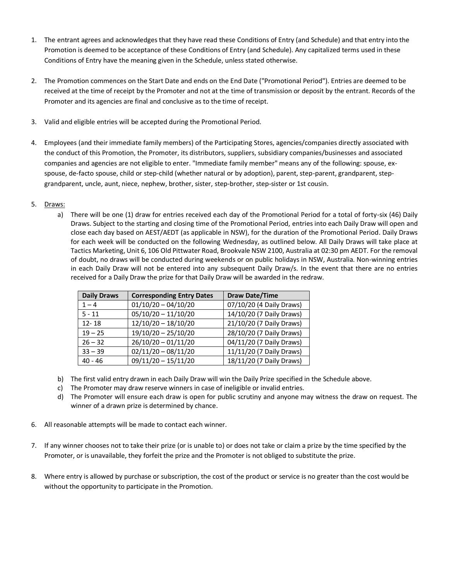- 1. The entrant agrees and acknowledges that they have read these Conditions of Entry (and Schedule) and that entry into the Promotion is deemed to be acceptance of these Conditions of Entry (and Schedule). Any capitalized terms used in these Conditions of Entry have the meaning given in the Schedule, unless stated otherwise.
- 2. The Promotion commences on the Start Date and ends on the End Date ("Promotional Period"). Entries are deemed to be received at the time of receipt by the Promoter and not at the time of transmission or deposit by the entrant. Records of the Promoter and its agencies are final and conclusive as to the time of receipt.
- 3. Valid and eligible entries will be accepted during the Promotional Period.
- 4. Employees (and their immediate family members) of the Participating Stores, agencies/companies directly associated with the conduct of this Promotion, the Promoter, its distributors, suppliers, subsidiary companies/businesses and associated companies and agencies are not eligible to enter. "Immediate family member" means any of the following: spouse, exspouse, de-facto spouse, child or step-child (whether natural or by adoption), parent, step-parent, grandparent, stepgrandparent, uncle, aunt, niece, nephew, brother, sister, step-brother, step-sister or 1st cousin.

## 5. Draws:

a) There will be one (1) draw for entries received each day of the Promotional Period for a total of forty-six (46) Daily Draws. Subject to the starting and closing time of the Promotional Period, entries into each Daily Draw will open and close each day based on AEST/AEDT (as applicable in NSW), for the duration of the Promotional Period. Daily Draws for each week will be conducted on the following Wednesday, as outlined below. All Daily Draws will take place at Tactics Marketing, Unit 6, 106 Old Pittwater Road, Brookvale NSW 2100, Australia at 02:30 pm AEDT. For the removal of doubt, no draws will be conducted during weekends or on public holidays in NSW, Australia. Non-winning entries in each Daily Draw will not be entered into any subsequent Daily Draw/s. In the event that there are no entries received for a Daily Draw the prize for that Daily Draw will be awarded in the redraw.

| <b>Daily Draws</b> | <b>Corresponding Entry Dates</b> | <b>Draw Date/Time</b>    |
|--------------------|----------------------------------|--------------------------|
| $1 - 4$            | $01/10/20 - 04/10/20$            | 07/10/20 (4 Daily Draws) |
| $5 - 11$           | $05/10/20 - 11/10/20$            | 14/10/20 (7 Daily Draws) |
| $12 - 18$          | $12/10/20 - 18/10/20$            | 21/10/20 (7 Daily Draws) |
| $19 - 25$          | $19/10/20 - 25/10/20$            | 28/10/20 (7 Daily Draws) |
| $26 - 32$          | $26/10/20 - 01/11/20$            | 04/11/20 (7 Daily Draws) |
| $33 - 39$          | $02/11/20 - 08/11/20$            | 11/11/20 (7 Daily Draws) |
| $40 - 46$          | $09/11/20 - 15/11/20$            | 18/11/20 (7 Daily Draws) |

- b) The first valid entry drawn in each Daily Draw will win the Daily Prize specified in the Schedule above.
- c) The Promoter may draw reserve winners in case of ineligible or invalid entries.
- d) The Promoter will ensure each draw is open for public scrutiny and anyone may witness the draw on request. The winner of a drawn prize is determined by chance.
- 6. All reasonable attempts will be made to contact each winner.
- 7. If any winner chooses not to take their prize (or is unable to) or does not take or claim a prize by the time specified by the Promoter, or is unavailable, they forfeit the prize and the Promoter is not obliged to substitute the prize.
- 8. Where entry is allowed by purchase or subscription, the cost of the product or service is no greater than the cost would be without the opportunity to participate in the Promotion.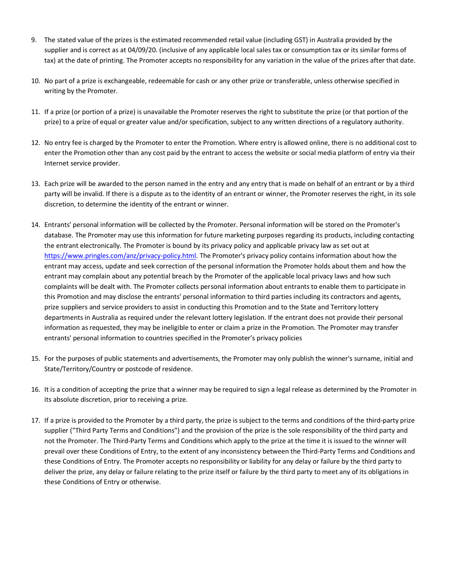- 9. The stated value of the prizes is the estimated recommended retail value (including GST) in Australia provided by the supplier and is correct as at 04/09/20. (inclusive of any applicable local sales tax or consumption tax or its similar forms of tax) at the date of printing. The Promoter accepts no responsibility for any variation in the value of the prizes after that date.
- 10. No part of a prize is exchangeable, redeemable for cash or any other prize or transferable, unless otherwise specified in writing by the Promoter.
- 11. If a prize (or portion of a prize) is unavailable the Promoter reserves the right to substitute the prize (or that portion of the prize) to a prize of equal or greater value and/or specification, subject to any written directions of a regulatory authority.
- 12. No entry fee is charged by the Promoter to enter the Promotion. Where entry is allowed online, there is no additional cost to enter the Promotion other than any cost paid by the entrant to access the website or social media platform of entry via their Internet service provider.
- 13. Each prize will be awarded to the person named in the entry and any entry that is made on behalf of an entrant or by a third party will be invalid. If there is a dispute as to the identity of an entrant or winner, the Promoter reserves the right, in its sole discretion, to determine the identity of the entrant or winner.
- 14. Entrants' personal information will be collected by the Promoter. Personal information will be stored on the Promoter's database. The Promoter may use this information for future marketing purposes regarding its products, including contacting the entrant electronically. The Promoter is bound by its privacy policy and applicable privacy law as set out at [https://www.pringles.com/anz/privacy-policy.html.](https://www.pringles.com/anz/privacy-policy.html) The Promoter's privacy policy contains information about how the entrant may access, update and seek correction of the personal information the Promoter holds about them and how the entrant may complain about any potential breach by the Promoter of the applicable local privacy laws and how such complaints will be dealt with. The Promoter collects personal information about entrants to enable them to participate in this Promotion and may disclose the entrants' personal information to third parties including its contractors and agents, prize suppliers and service providers to assist in conducting this Promotion and to the State and Territory lottery departments in Australia as required under the relevant lottery legislation. If the entrant does not provide their personal information as requested, they may be ineligible to enter or claim a prize in the Promotion. The Promoter may transfer entrants' personal information to countries specified in the Promoter's privacy policies
- 15. For the purposes of public statements and advertisements, the Promoter may only publish the winner's surname, initial and State/Territory/Country or postcode of residence.
- 16. It is a condition of accepting the prize that a winner may be required to sign a legal release as determined by the Promoter in its absolute discretion, prior to receiving a prize.
- 17. If a prize is provided to the Promoter by a third party, the prize is subject to the terms and conditions of the third-party prize supplier ("Third Party Terms and Conditions") and the provision of the prize is the sole responsibility of the third party and not the Promoter. The Third-Party Terms and Conditions which apply to the prize at the time it is issued to the winner will prevail over these Conditions of Entry, to the extent of any inconsistency between the Third-Party Terms and Conditions and these Conditions of Entry. The Promoter accepts no responsibility or liability for any delay or failure by the third party to deliver the prize, any delay or failure relating to the prize itself or failure by the third party to meet any of its obligations in these Conditions of Entry or otherwise.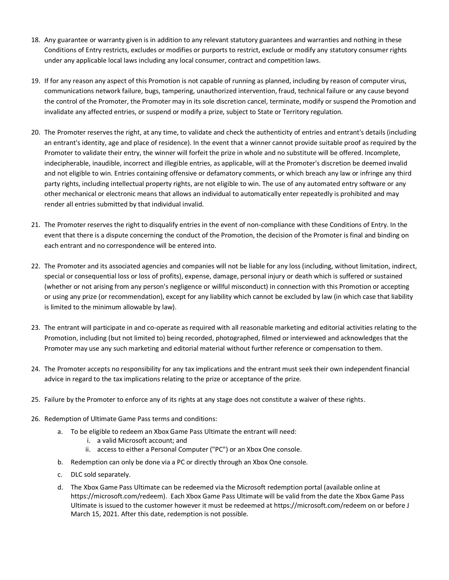- 18. Any guarantee or warranty given is in addition to any relevant statutory guarantees and warranties and nothing in these Conditions of Entry restricts, excludes or modifies or purports to restrict, exclude or modify any statutory consumer rights under any applicable local laws including any local consumer, contract and competition laws.
- 19. If for any reason any aspect of this Promotion is not capable of running as planned, including by reason of computer virus, communications network failure, bugs, tampering, unauthorized intervention, fraud, technical failure or any cause beyond the control of the Promoter, the Promoter may in its sole discretion cancel, terminate, modify or suspend the Promotion and invalidate any affected entries, or suspend or modify a prize, subject to State or Territory regulation.
- 20. The Promoter reserves the right, at any time, to validate and check the authenticity of entries and entrant's details (including an entrant's identity, age and place of residence). In the event that a winner cannot provide suitable proof as required by the Promoter to validate their entry, the winner will forfeit the prize in whole and no substitute will be offered. Incomplete, indecipherable, inaudible, incorrect and illegible entries, as applicable, will at the Promoter's discretion be deemed invalid and not eligible to win. Entries containing offensive or defamatory comments, or which breach any law or infringe any third party rights, including intellectual property rights, are not eligible to win. The use of any automated entry software or any other mechanical or electronic means that allows an individual to automatically enter repeatedly is prohibited and may render all entries submitted by that individual invalid.
- 21. The Promoter reserves the right to disqualify entries in the event of non-compliance with these Conditions of Entry. In the event that there is a dispute concerning the conduct of the Promotion, the decision of the Promoter is final and binding on each entrant and no correspondence will be entered into.
- 22. The Promoter and its associated agencies and companies will not be liable for any loss (including, without limitation, indirect, special or consequential loss or loss of profits), expense, damage, personal injury or death which is suffered or sustained (whether or not arising from any person's negligence or willful misconduct) in connection with this Promotion or accepting or using any prize (or recommendation), except for any liability which cannot be excluded by law (in which case that liability is limited to the minimum allowable by law).
- 23. The entrant will participate in and co-operate as required with all reasonable marketing and editorial activities relating to the Promotion, including (but not limited to) being recorded, photographed, filmed or interviewed and acknowledges that the Promoter may use any such marketing and editorial material without further reference or compensation to them.
- 24. The Promoter accepts no responsibility for any tax implications and the entrant must seek their own independent financial advice in regard to the tax implications relating to the prize or acceptance of the prize.
- 25. Failure by the Promoter to enforce any of its rights at any stage does not constitute a waiver of these rights.
- 26. Redemption of Ultimate Game Pass terms and conditions:
	- a. To be eligible to redeem an Xbox Game Pass Ultimate the entrant will need:
		- i. a valid Microsoft account; and
		- ii. access to either a Personal Computer ("PC") or an Xbox One console.
	- b. Redemption can only be done via a PC or directly through an Xbox One console.
	- c. DLC sold separately.
	- d. The Xbox Game Pass Ultimate can be redeemed via the Microsoft redemption portal (available online at [https://microsoft.com/redeem\)](https://urldefense.proofpoint.com/v2/url?u=https-3A__microsoft.com_redeem&d=DwMFAg&c=dPDDGlUGlJe7k2bognQ9ww&r=GcWBPnVL0LxwECo6dH_WFSVgpMmAar5ze5VEFTAlrMw&m=OaWDC7SgfpDaH3fxE78BM1cKlswYZVIkXosOTp_GX_E&s=UPX-ANUQvxtHrKelzoFjMkIHf78Xm30Fh-bSonVbVPk&e=). Each Xbox Game Pass Ultimate will be valid from the date the Xbox Game Pass Ultimate is issued to the customer however it must be redeemed a[t https://microsoft.com/redeem](https://urldefense.proofpoint.com/v2/url?u=https-3A__microsoft.com_redeem&d=DwMFAg&c=dPDDGlUGlJe7k2bognQ9ww&r=GcWBPnVL0LxwECo6dH_WFSVgpMmAar5ze5VEFTAlrMw&m=OaWDC7SgfpDaH3fxE78BM1cKlswYZVIkXosOTp_GX_E&s=UPX-ANUQvxtHrKelzoFjMkIHf78Xm30Fh-bSonVbVPk&e=) on or before J March 15, 2021. After this date, redemption is not possible.